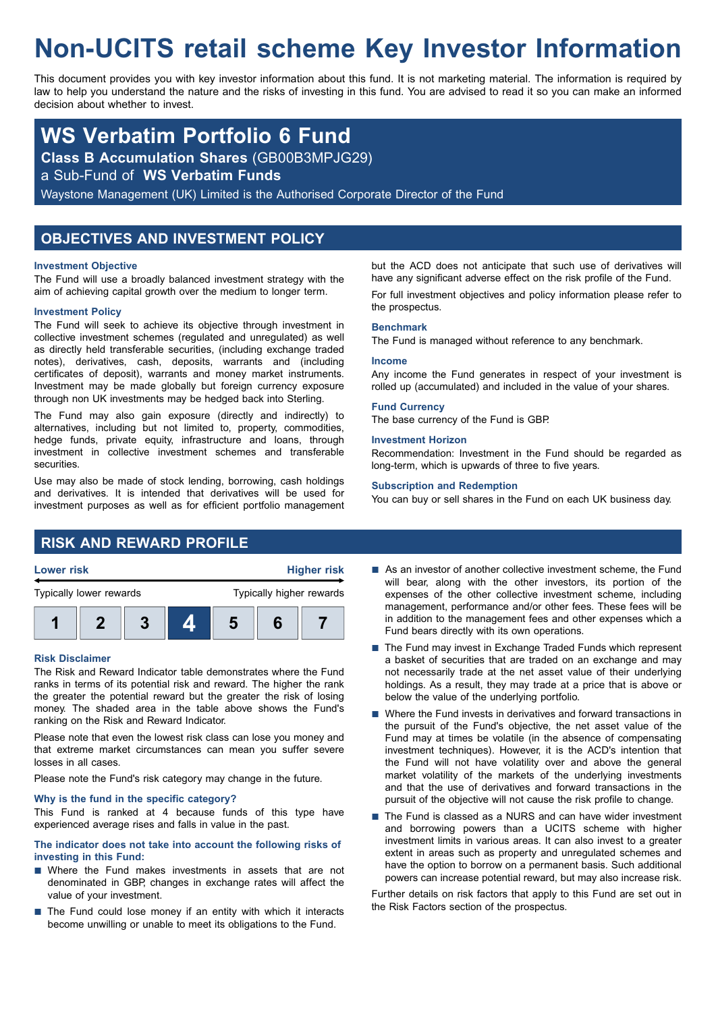# **Non-UCITS retail scheme Key Investor Information**

This document provides you with key investor information about this fund. It is not marketing material. The information is required by law to help you understand the nature and the risks of investing in this fund. You are advised to read it so you can make an informed decision about whether to invest.

## **WS Verbatim Portfolio 6 Fund**

**Class B Accumulation Shares** (GB00B3MPJG29)

a Sub-Fund of **WS Verbatim Funds**

Waystone Management (UK) Limited is the Authorised Corporate Director of the Fund

## **OBJECTIVES AND INVESTMENT POLICY**

#### **Investment Objective**

The Fund will use a broadly balanced investment strategy with the aim of achieving capital growth over the medium to longer term.

#### **Investment Policy**

The Fund will seek to achieve its objective through investment in collective investment schemes (regulated and unregulated) as well as directly held transferable securities, (including exchange traded notes), derivatives, cash, deposits, warrants and (including certificates of deposit), warrants and money market instruments. Investment may be made globally but foreign currency exposure through non UK investments may be hedged back into Sterling.

The Fund may also gain exposure (directly and indirectly) to alternatives, including but not limited to, property, commodities, hedge funds, private equity, infrastructure and loans, through investment in collective investment schemes and transferable securities.

Use may also be made of stock lending, borrowing, cash holdings and derivatives. It is intended that derivatives will be used for investment purposes as well as for efficient portfolio management but the ACD does not anticipate that such use of derivatives will have any significant adverse effect on the risk profile of the Fund. For full investment objectives and policy information please refer to the prospectus.

#### **Benchmark**

The Fund is managed without reference to any benchmark.

#### **Income**

Any income the Fund generates in respect of your investment is rolled up (accumulated) and included in the value of your shares.

#### **Fund Currency**

The base currency of the Fund is GBP.

#### **Investment Horizon**

Recommendation: Investment in the Fund should be regarded as long-term, which is upwards of three to five years.

#### **Subscription and Redemption**

You can buy or sell shares in the Fund on each UK business day.

## **RISK AND REWARD PROFILE**





#### **Risk Disclaimer**

The Risk and Reward Indicator table demonstrates where the Fund ranks in terms of its potential risk and reward. The higher the rank the greater the potential reward but the greater the risk of losing money. The shaded area in the table above shows the Fund's ranking on the Risk and Reward Indicator.

Please note that even the lowest risk class can lose you money and that extreme market circumstances can mean you suffer severe losses in all cases.

Please note the Fund's risk category may change in the future.

#### **Why is the fund in the specific category?**

This Fund is ranked at 4 because funds of this type have experienced average rises and falls in value in the past.

#### **The indicator does not take into account the following risks of investing in this Fund:**

- $\blacksquare$  Where the Fund makes investments in assets that are not denominated in GBP, changes in exchange rates will affect the value of your investment.
- $\blacksquare$  The Fund could lose money if an entity with which it interacts become unwilling or unable to meet its obligations to the Fund.
- $\blacksquare$  As an investor of another collective investment scheme, the Fund will bear, along with the other investors, its portion of the expenses of the other collective investment scheme, including management, performance and/or other fees. These fees will be in addition to the management fees and other expenses which a Fund bears directly with its own operations.
- $\blacksquare$  The Fund may invest in Exchange Traded Funds which represent a basket of securities that are traded on an exchange and may not necessarily trade at the net asset value of their underlying holdings. As a result, they may trade at a price that is above or below the value of the underlying portfolio.
- $\blacksquare$  Where the Fund invests in derivatives and forward transactions in the pursuit of the Fund's objective, the net asset value of the Fund may at times be volatile (in the absence of compensating investment techniques). However, it is the ACD's intention that the Fund will not have volatility over and above the general market volatility of the markets of the underlying investments and that the use of derivatives and forward transactions in the pursuit of the objective will not cause the risk profile to change.
- The Fund is classed as a NURS and can have wider investment and borrowing powers than a UCITS scheme with higher investment limits in various areas. It can also invest to a greater extent in areas such as property and unregulated schemes and have the option to borrow on a permanent basis. Such additional powers can increase potential reward, but may also increase risk.

Further details on risk factors that apply to this Fund are set out in the Risk Factors section of the prospectus.